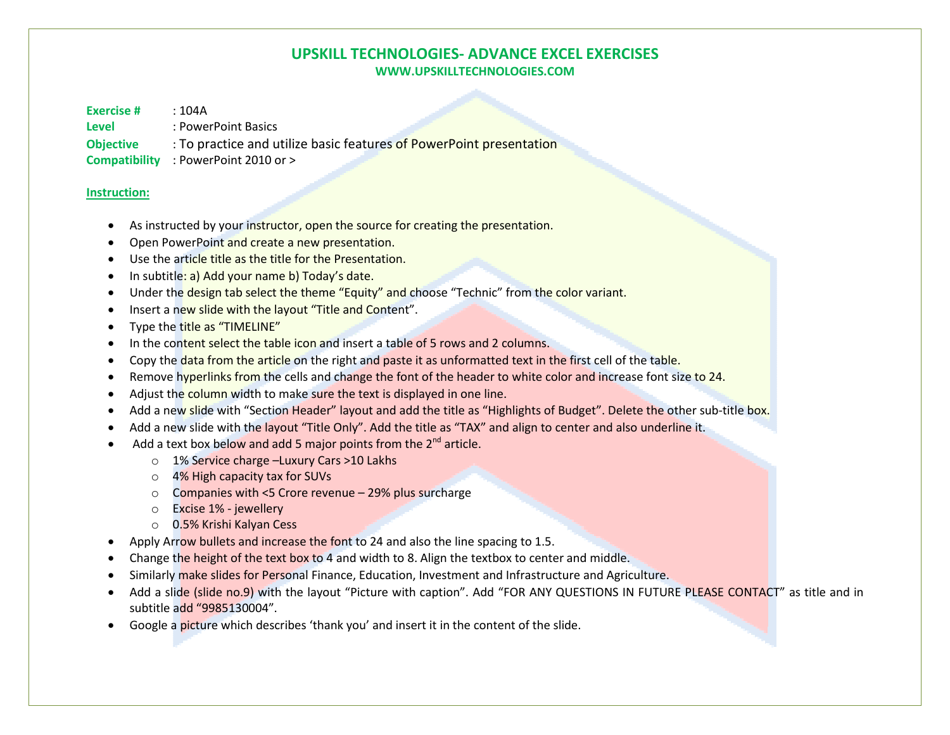## **UPSKILL TECHNOLOGIES- ADVANCE EXCEL EXERCISES WWW.UPSKILLTECHNOLOGIES.COM**

**Exercise #** : 104A

- **Level** : PowerPoint Basics
- **Objective** : To practice and utilize basic features of PowerPoint presentation

**Compatibility** : PowerPoint 2010 or >

## **Instruction:**

- •As instructed by your instructor, open the source for creating the presentation.
- •Open PowerPoint and create a new presentation.
- •Use the article title as the title for the Presentation.
- •In subtitle: a) Add your name b) Today's date.
- •Under the design tab select the theme "Equity" and choose "Technic" from the color variant.
- •Insert a new slide with the layout "Title and Content".
- •Type the title as "TIMELINE"
- •In the content select the table icon and insert a table of 5 rows and 2 columns.
- •Copy the data from the article on the right and paste it as unformatted text in the first cell of the table.
- •Remove hyperlinks from the cells and change the font of the header to white color and increase font size to 24.
- •Adjust the column width to make sure the text is displayed in one line.
- •Add a new slide with "Section Header" layout and add the title as "Highlights of Budget". Delete the other sub-title box.
- •Add a new slide with the layout "Title Only". Add the title as "TAX" and align to center and also underline it.
- Add a text box below and add 5 major points from the  $2^{nd}$  article.
	- o 1% Service charge –Luxury Cars >10 Lakhs
	- o 4% High capacity tax for SUVs
	- o Companies with <5 Crore revenue 29% plus surcharge
	- o Excise 1% jewellery
	- o 0.5% Krishi Kalyan Cess
- •Apply Arrow bullets and increase the font to 24 and also the line spacing to 1.5.
- •Change the height of the text box to 4 and width to 8. Align the textbox to center and middle.
- •Similarly make slides for Personal Finance, Education, Investment and Infrastructure and Agriculture.
- •Add a slide (slide no.9) with the layout "Picture with caption". Add "FOR ANY QUESTIONS IN FUTURE PLEASE CONTACT" as title and in subtitle add "9985130004".
- •Google a picture which describes 'thank you' and insert it in the content of the slide.